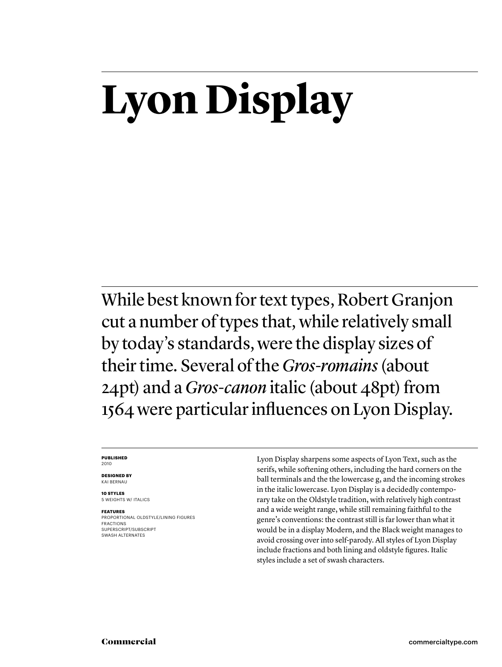## **Lyon Display**

While best known for text types, Robert Granjon cut a number of types that, while relatively small by today's standards, were the display sizes of their time. Several of the *Gros-romains* (about 24pt) and a *Gros-canon* italic (about 48pt) from 1564 were particular influences on Lyon Display.

#### **PUBLISHED** 2010

**DESIGNED BY**

KAI BERNAU **10 STYLES**

5 WEIGHTS W/ ITALICS

**FEATURES**

PROPORTIONAL OLDSTYLE/LINING FIGURES FRACTIONS SUPERSCRIPT/SUBSCRIPT SWASH ALTERNATES

Lyon Display sharpens some aspects of Lyon Text, such as the serifs, while softening others, including the hard corners on the ball terminals and the the lowercase g, and the incoming strokes in the italic lowercase. Lyon Display is a decidedly contemporary take on the Oldstyle tradition, with relatively high contrast and a wide weight range, while still remaining faithful to the genre's conventions: the contrast still is far lower than what it would be in a display Modern, and the Black weight manages to avoid crossing over into self-parody. All styles of Lyon Display include fractions and both lining and oldstyle figures. Italic styles include a set of swash characters.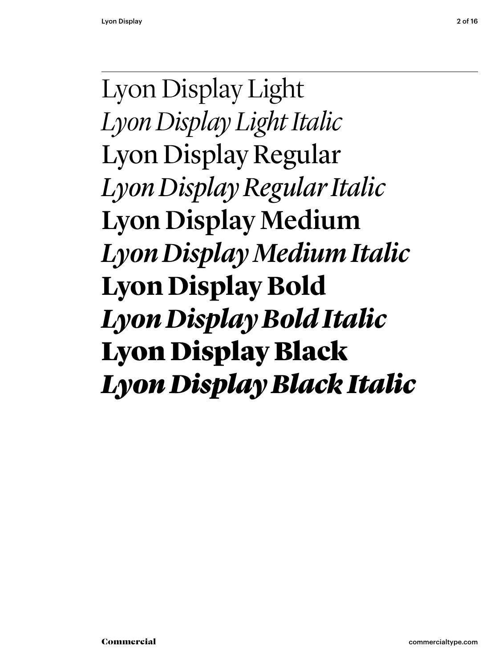Lyon Display Light *Lyon Display Light Italic* Lyon Display Regular *Lyon Display Regular Italic* Lyon Display Medium *Lyon Display Medium Italic* **Lyon Display Bold** *Lyon Display Bold Italic* Lyon Display Black *Lyon Display Black Italic*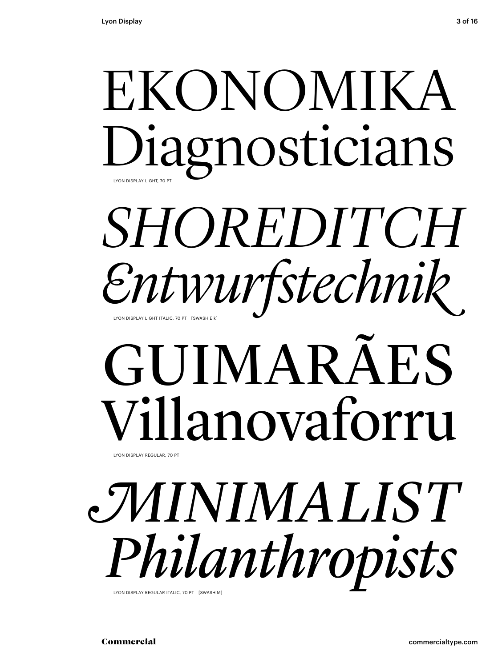## EKONOMIKA Diagnosticians LYON DISPLAY LIGHT, 70 PT

## *SHOREDITCH Entwurfstechnik* LYON DISPLAY LIGHT ITALIC, 70 PT [SWASH E k]

# GUIMARÃES Villanovaforru

*MINIMALIST Philanthropists*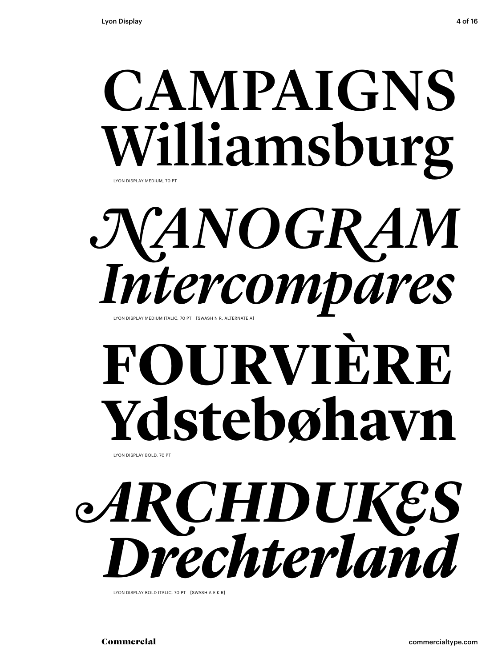## CAMPAIGNS Williamsburg LYON DISPLAY MEDIUM, 70 PT

*NANOGRAM Intervas* 

# **FOURVIÈRE** Ydstebøhavn

# *ARCHDUKES* **Drechter/Jan Display Rochter**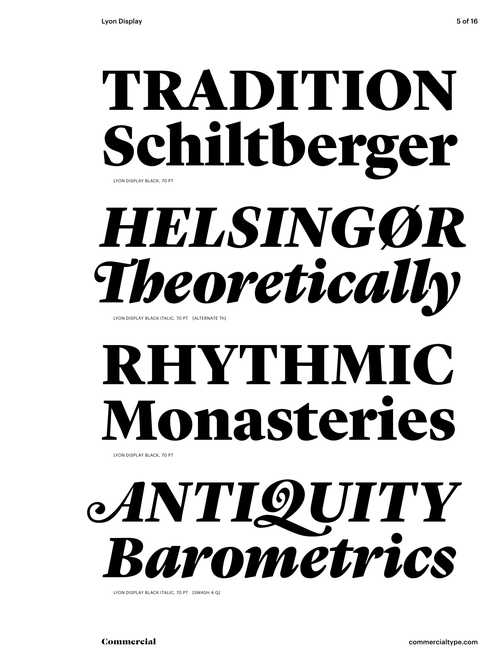## TRADITION Schiltberger LYON DISPLAY BLACK, 70 PT

# *HELSINGØR* **Theoretically Reported Callty**

## **RHYTHMI** Ionasteries

LYON DISPLAY BLACK, 70 PT

# *ANTIQUITY* **Barometric Control Display Literate Reserved**

Commercial commercialtype.com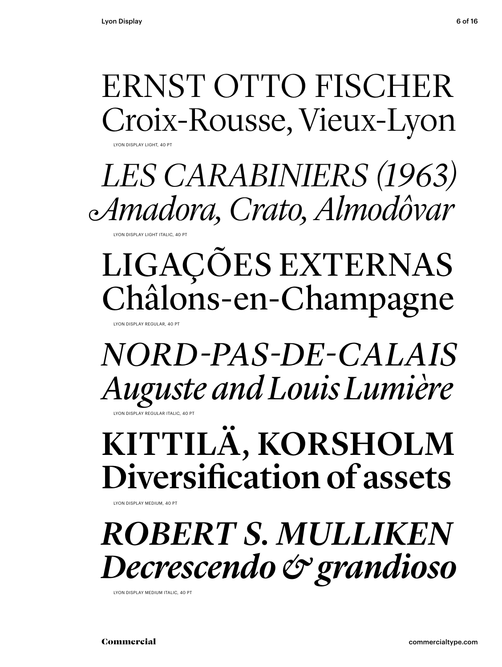### ERNST OTTO FISCHER Croix-Rousse, Vieux-Lyon

LYON DISPLAY LIGHT, 40 PT

 *LES CARABINIERS (1963) Amadora, Crato, Almodôvar*

LYON DISPLAY LIGHT ITALIC, 40 PT

### LIGAÇÕES EXTERNAS Châlons-en-Champagne

LYON DISPLAY REGULAR, 40 PT

**CN DISPLAY REGULAR ITAL** *NORD-PAS-DE-CALAIS Auguste and Louis Lumière*

KITTILÄ, KORSHOLM Diversification of assets

LYON DISPLAY MEDIUM, 40 PT

*ROBERT S. MULLIKEN Decrescendo & grandioso*

LYON DISPLAY MEDIUM ITALIC, 40 PT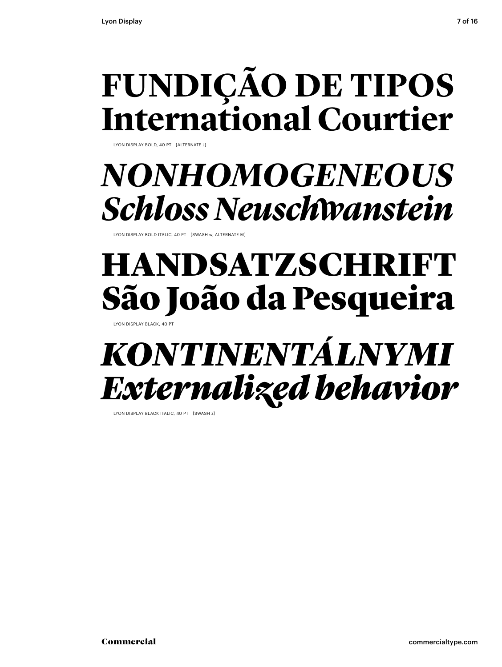### **FUNDIÇÃO DE TIPOS International Courtier**

LYON DISPLAY BOLD, 40 PT [ALTERNATE J]

### *NONHOMOGENEOUS Schloss Neuschwanstein*

LYON DISPLAY BOLD ITALIC, 40 PT [SWASH w, ALTERNATE M]

### HANDSATZSCHRI São João da Pesqueira

LYON DISPLAY BLACK, 40 PT

### *KONTINENTÁLNYMI Externalized behavior*

LYON DISPLAY BLACK ITALIC, 40 PT [SWASH z]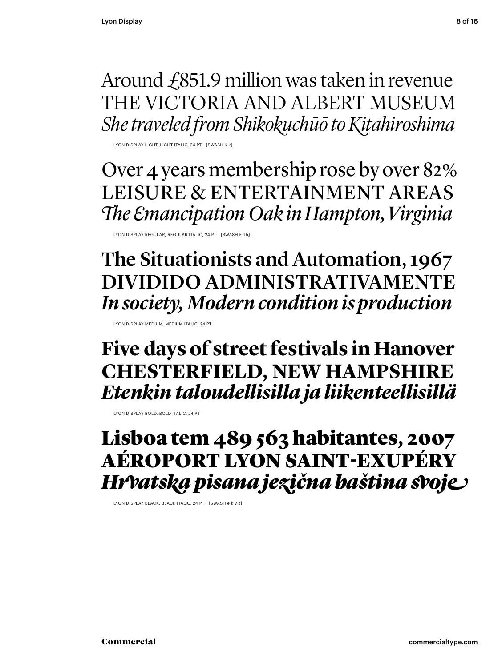Around £851.9 million was taken in revenue THE VICTORIA AND ALBERT MUSEUM *She traveled from Shikokuchūō to Kitahiroshima*

LYON DISPLAY LIGHT, LIGHT ITALIC, 24 PT [SWASH K k]

Over 4 years membership rose by over 82% LEISURE & ENTERTAINMENT AREAS **The Emancipation Oak in Hampton, Virginia** 

LYON DISPLAY REGULAR, REGULAR ITALIC, 24 PT [SWASH E Th]

The Situationists and Automation, 1967 DIVIDIDO ADMINISTRATIVAMENTE *In society, Modern condition is production*

LYON DISPLAY MEDIUM, MEDIUM ITALIC, 24 PT

**Five days of street festivals in Hanover CHESTERFIELD, NEW HAMPSHIRE** *Etenkin taloudellisilla ja liikenteellisillä* 

LYON DISPLAY BOLD, BOLD ITALIC, 24 PT

Lisboa tem 489 563 habitantes, 2007 AÉROPORT LYON SAINT-EXUPÉRY *Hrvatska pisana jezična baština svoje*

LYON DISPLAY BLACK, BLACK ITALIC, 24 PT [SWASH e k v z]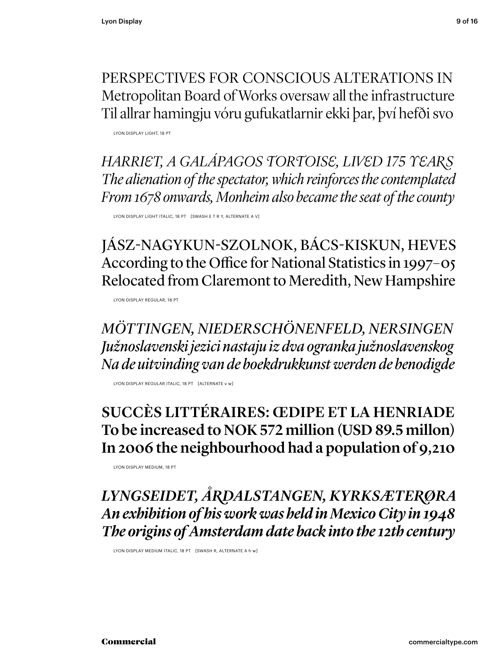PERSPECTIVES FOR CONSCIOUS ALTERATIONS IN Metropolitan Board of Works oversaw all the infrastructure Til allrar hamingju vóru gufukatlarnir ekki þar, því hefði svo

LYON DISPLAY LIGHT, 18 PT

*HARRIET, A GALÁPAGOS TORTOISE, LIVED 175 YEARS The alienation of the spectator, which reinforces the contemplated From 1678 onwards, Monheim also became the seat of the county*

LYON DISPLAY LIGHT ITALIC, 18 PT [SWASH E T R Y, ALTERNATE A V]

JÁSZ-NAGYKUN-SZOLNOK, BÁCS-KISKUN, HEVES According to the Office for National Statistics in 1997–05 Relocated from Claremont to Meredith, New Hampshire

LYON DISPLAY REGULAR, 18 PT

*MÖTTINGEN, NIEDERSCHÖNENFELD, NERSINGEN Južnoslavenski jezici nastaju iz dva ogranka južnoslavenskog Na de uitvinding van de boekdrukkunst werden de benodigde*

LYON DISPLAY REGULAR ITALIC, 18 PT [ALTERNATE v w]

#### SUCCÈS LITTÉRAIRES: ŒDIPE ET LA HENRIADE To be increased to NOK 572 million (USD 89.5 millon) In 2006 the neighbourhood had a population of 9,210

LYON DISPLAY MEDIUM, 18 PT

*LYNGSEIDET, ÅRDALSTANGEN, KYRKSÆTERØRA An exhibition of his work was held in Mexico City in 1948 The origins of Amsterdam date back into the 12th century*

LYON DISPLAY MEDIUM ITALIC, 18 PT [SWASH R, ALTERNATE A h w]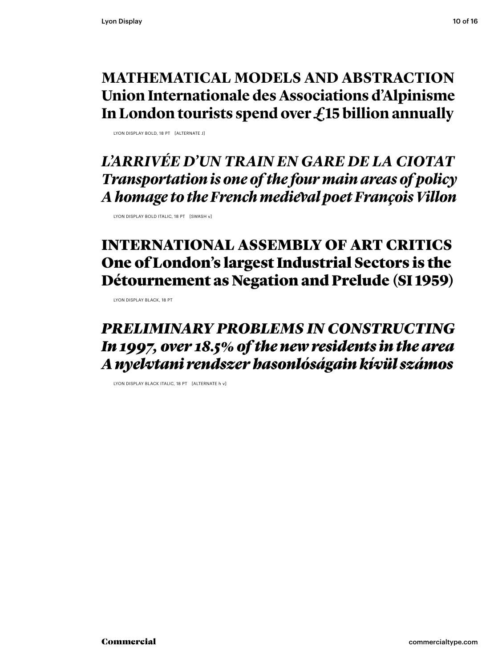#### **MATHEMATICAL MODELS AND ABSTRACTION Union Internationale des Associations d'Alpinisme In London tourists spend over £15 billion annually**

LYON DISPLAY BOLD, 18 PT [ALTERNATE J]

*L'ARRIVÉE D'UN TRAIN EN GARE DE LA CIOTAT Transportation is one of the four main areas of policy A homage to the French medieval poet François Villon*

LYON DISPLAY BOLD ITALIC, 18 PT [SWASH v]

#### INTERNATIONAL ASSEMBLY OF ART CRITICS One of London's largest Industrial Sectors is the Détournement as Negation and Prelude (SI 1959)

LYON DISPLAY BLACK, 18 PT

#### *PRELIMINARY PROBLEMS IN CONSTRUCTING In 1997, over 18.5% of the new residents in the area A nyelvtani rendszer hasonlóságain kívül számos*

LYON DISPLAY BLACK ITALIC, 18 PT [ALTERNATE h v]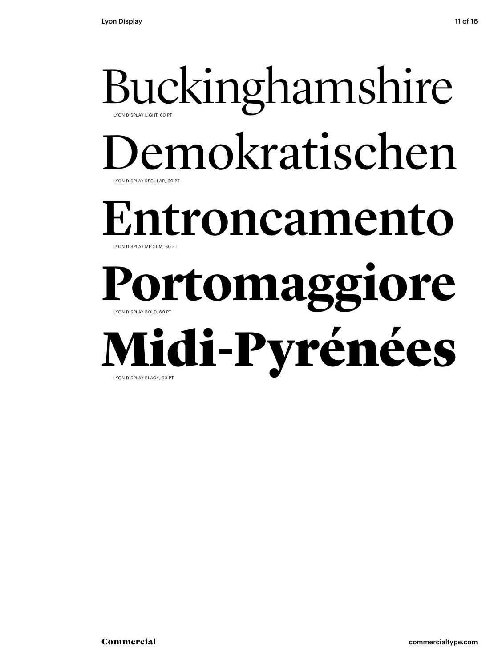### Buckinghamshire LYON DISPLAY REGULAR, 60 PT LYON DISPLAY LIGHT, 60 PT emokratischen Entroncamento LYON DISPLAY BOLD, 60 PT LYON DISPLAY MEDIUM, 60 PT **Portomaggiore** Midi-Pyrénées LYON DISPLAY BLACK, 60 PT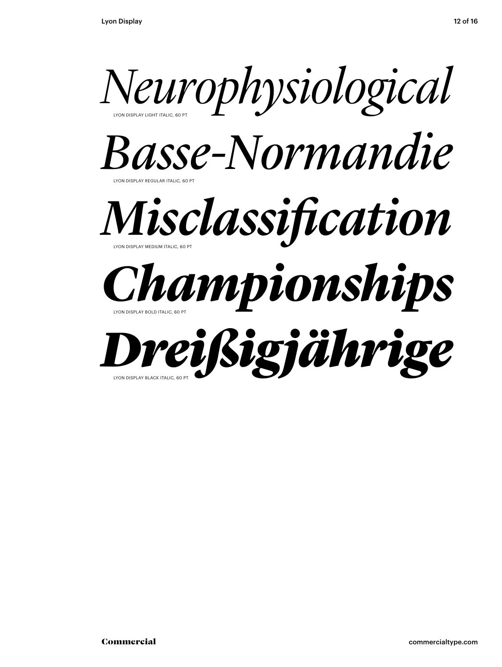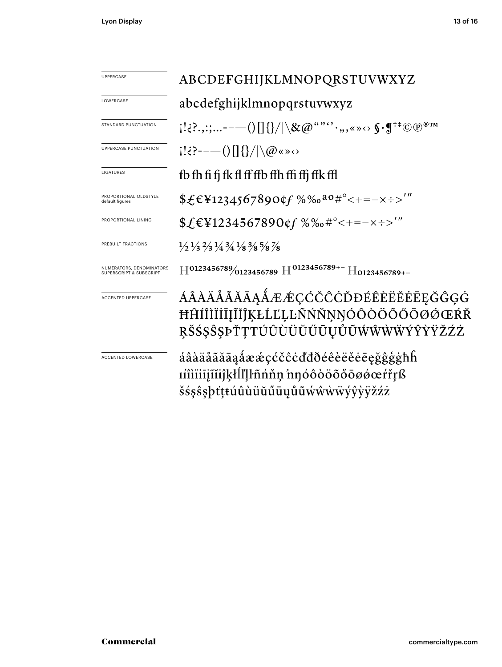| <b>UPPERCASE</b>                                               | ABCDEFGHIJKLMNOPQRSTUVWXYZ                                                                                                                                                                                                                                                                                                                |  |
|----------------------------------------------------------------|-------------------------------------------------------------------------------------------------------------------------------------------------------------------------------------------------------------------------------------------------------------------------------------------------------------------------------------------|--|
| LOWERCASE                                                      | abcdefghijklmnopqrstuvwxyz                                                                                                                                                                                                                                                                                                                |  |
| STANDARD PUNCTUATION                                           | $\{1:\ldots,:\ldots---()\{\}\{\}\}/\backslash \&\emptyset\overset{\omega\cdots\cdots}\cdots,\ldots\cdots\mathbb{S}\cdot\mathbb{S}^{\dagger\pm}\textcircled{c}\circ\mathbb{S}^{\text{mm}}\}$                                                                                                                                               |  |
| UPPERCASE PUNCTUATION                                          | $[! \infty]$ : $\infty$ $\infty$ $\infty$ $\infty$ $\infty$ $\infty$ $\infty$ $\infty$ $\infty$ $\infty$ $\infty$ $\infty$ $\infty$ $\infty$ $\infty$ $\infty$ $\infty$ $\infty$ $\infty$ $\infty$ $\infty$ $\infty$ $\infty$ $\infty$ $\infty$ $\infty$ $\infty$ $\infty$ $\infty$ $\infty$ $\infty$ $\infty$ $\infty$ $\infty$ $\infty$ |  |
| LIGATURES                                                      | fb fh fi fi fk fl ff ffb ffh ffi ffj ffk ffl                                                                                                                                                                                                                                                                                              |  |
| PROPORTIONAL OLDSTYLE<br>default figures                       | $\frac{65}{12345678900f}$ %%0 <sup>a0#°</sup> <+=-x÷>'"                                                                                                                                                                                                                                                                                   |  |
| PROPORTIONAL LINING                                            |                                                                                                                                                                                                                                                                                                                                           |  |
| PREBUILT FRACTIONS                                             | $\frac{1}{2}$ $\frac{1}{3}$ $\frac{2}{3}$ $\frac{1}{4}$ $\frac{3}{4}$ $\frac{1}{8}$ $\frac{3}{8}$ $\frac{5}{8}$ $\frac{7}{8}$                                                                                                                                                                                                             |  |
| NUMERATORS, DENOMINATORS<br><b>SUPERSCRIPT &amp; SUBSCRIPT</b> | $H^{0123456789}/_{0123456789}$ $H^{0123456789+-}$ $H_{0123456789+-}$                                                                                                                                                                                                                                                                      |  |
| <b>ACCENTED UPPERCASE</b>                                      | ÁÂÀÄÅÃĂĀĄÅÆÆÇĆČĈÒĐÉÊÈËĔĒĘĞĜĢĠ<br>ĦĤÍÎÌÏİĪĪĨĨĬĴĶŁĹĽĻĿÑŃŇŅŊÓÔÒÖŐŐŌØŐŒŔŘ<br>ŖŠŚŞŜŞÞŤŢŦÚÛÙÜŬŰŨŲŮŨŴŴŴŴÝŶŸŽŹŻ                                                                                                                                                                                                                                   |  |
| <b>ACCENTED LOWERCASE</b>                                      | áâàäåããããåææçćčĉċďđðéêèëěēeğĝģġħĥ<br><u>uîliiiji iijklillenne innóôòöõőoøøærrrß</u><br>šśşŝşþťţŧúûùüŭűūųůũẃŵẁẅýŷỳÿžźż                                                                                                                                                                                                                     |  |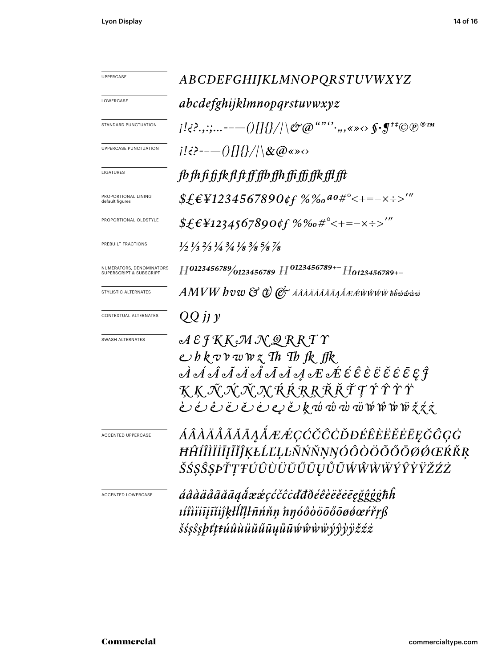| UPPERCASE                                                      | ABCDEFGHIJKLMNOPQRSTUVWXYZ                                                                                                                                                                                                                                                                                                                                                                                                                                                                                                                                                                                                                                                                               |  |  |
|----------------------------------------------------------------|----------------------------------------------------------------------------------------------------------------------------------------------------------------------------------------------------------------------------------------------------------------------------------------------------------------------------------------------------------------------------------------------------------------------------------------------------------------------------------------------------------------------------------------------------------------------------------------------------------------------------------------------------------------------------------------------------------|--|--|
| LOWERCASE                                                      | abcdefghijklmnopqrstuvwxyz                                                                                                                                                                                                                                                                                                                                                                                                                                                                                                                                                                                                                                                                               |  |  |
| STANDARD PUNCTUATION                                           | $\{L^1\leq R^2,\ldots, \ldots \}$ . $\{L^1\leq R^2\leq R^2\}$ , $\{L^2\leq R^2\leq R^2\}$ , $\{L^2\leq R^2\leq R^2\leq R^2\}$                                                                                                                                                                                                                                                                                                                                                                                                                                                                                                                                                                            |  |  |
| UPPERCASE PUNCTUATION                                          | $i!\vec{B}$ :--- ()[]{}/ \&@«» $\Leftrightarrow$                                                                                                                                                                                                                                                                                                                                                                                                                                                                                                                                                                                                                                                         |  |  |
| LIGATURES                                                      | fb fh fi fi fk fl ft ff ffb ffh ffi ffi ffk ffl fft                                                                                                                                                                                                                                                                                                                                                                                                                                                                                                                                                                                                                                                      |  |  |
| PROPORTIONAL LINING<br>default figures                         | $$£€Y1234567890¢f %%0a0#°<+=-x:-2"$                                                                                                                                                                                                                                                                                                                                                                                                                                                                                                                                                                                                                                                                      |  |  |
| PROPORTIONAL OLDSTYLE                                          | $$f_{\epsilon}$ \\starshmall 24567890 \text{f} % % \starshmall $*$ \starshmall 3.4567890 \text{f} % % \starshmall 3.45 \right].                                                                                                                                                                                                                                                                                                                                                                                                                                                                                                                                                                          |  |  |
| PREBUILT FRACTIONS                                             | $\frac{1}{2}$ $\frac{1}{3}$ $\frac{2}{3}$ $\frac{1}{4}$ $\frac{3}{4}$ $\frac{1}{8}$ $\frac{3}{8}$ $\frac{5}{8}$ $\frac{7}{8}$                                                                                                                                                                                                                                                                                                                                                                                                                                                                                                                                                                            |  |  |
| NUMERATORS, DENOMINATORS<br><b>SUPERSCRIPT &amp; SUBSCRIPT</b> | $H^{0123456789}/_{0123456789}$ $H^{0123456789+-}$ $H_{0123456789+-}$                                                                                                                                                                                                                                                                                                                                                                                                                                                                                                                                                                                                                                     |  |  |
| STYLISTIC ALTERNATES                                           | $AMVW$ $b$ v $w$ $\mathfrak{S}$ $\mathfrak{C}$ $\mathscr{O}$ AAAAAAAAA $\mathscr{A}$ æ $\mathscr{A}$ wŵŵ $\mathscr{W}$ bh $\mathscr{W}$ w $\mathscr{W}$                                                                                                                                                                                                                                                                                                                                                                                                                                                                                                                                                  |  |  |
| CONTEXTUAL ALTERNATES                                          | QQjjy                                                                                                                                                                                                                                                                                                                                                                                                                                                                                                                                                                                                                                                                                                    |  |  |
| SWASH ALTERNATES                                               | $A \, \mathcal{E} \, \mathcal{F} \, K \, K \, \mathcal{M} \, \mathcal{N} \, \mathcal{Q} \, R \, R \, T \, \mathcal{V}$<br>$\epsilon$ b k v r w w z Th Th fk ffk<br>ĶĶĀŇŇŅŔŔŖŖŘŤŢŶŶŶŸ<br>$\mathcal{L} \circ \mathcal{L} \circ \mathcal{L} \circ \mathcal{L} \circ \mathcal{L} \circ \mathcal{L} \circ \mathcal{L} \circ \mathcal{L} \circ \mathcal{L} \circ \mathcal{L} \circ \mathcal{L} \circ \mathcal{L} \circ \mathcal{L} \circ \mathcal{L} \circ \mathcal{L} \circ \mathcal{L} \circ \mathcal{L} \circ \mathcal{L} \circ \mathcal{L} \circ \mathcal{L} \circ \mathcal{L} \circ \mathcal{L} \circ \mathcal{L} \circ \mathcal{L} \circ \mathcal{L} \circ \mathcal{L} \circ \mathcal{L} \circ \mathcal$ |  |  |
| <b>ACCENTED UPPERCASE</b>                                      | ÁÂÀÄÅÃĂĀĄÅÆÆÇĆČĈÒĐÉÊÈËĔĒĘĞĜĢĠ<br>ĦĤÍÎÌÏİĪĮĨĬĴĶŁĹĽĻĿÑŃŇŅŊÓÔŎŎŐŐŌØĆŒŔŘŖ<br>ŠŚŞŜŞÞŤŢŦÚÛÙÜŬŰŨŲŮŨŴŴŴŴÝŶŶŸŽŹŻ                                                                                                                                                                                                                                                                                                                                                                                                                                                                                                                                                                                                  |  |  |
| <b>ACCENTED LOWERCASE</b>                                      | áâàäããããagắææçćčĉċďđðéêèëĕēēgğĝģġħĥ<br>víiiiiįĩijkłĺlḷŀñńňṇ hŋóôòöõőōøøœŕřṛß<br>šśşŝşþťṭŧúûùüŭűūųůũẃŵẁѿýŷỳÿžźż                                                                                                                                                                                                                                                                                                                                                                                                                                                                                                                                                                                           |  |  |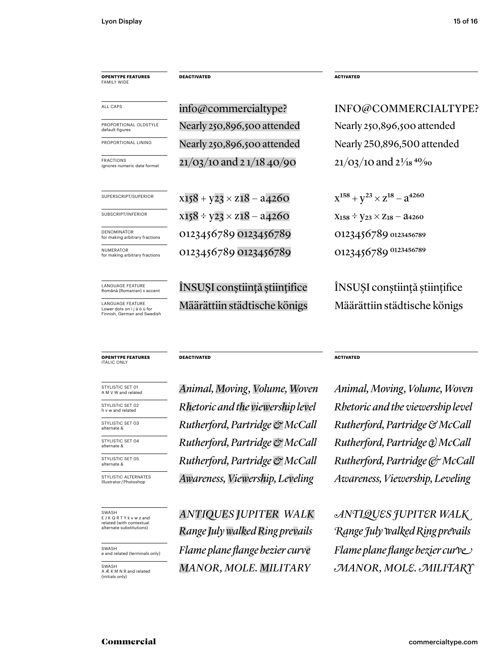| <b>OPENTYPE FEATURES</b><br><b>FAMILY WIDE</b>         | <b>DEACTIVATED</b>                 | <b>ACTIVATED</b>                            |
|--------------------------------------------------------|------------------------------------|---------------------------------------------|
| <b>ALL CAPS</b>                                        | info@commercialtype?               | INFO@COMMERCIALTYPE?                        |
| PROPORTIONAL OLDSTYLE<br>default figures               | Nearly 250,896,500 attended        | Nearly 250,896,500 attended                 |
| PROPORTIONAL LINING                                    | Nearly 250,896,500 attended        | Nearly 250,896,500 attended                 |
| <b>FRACTIONS</b><br>ignores numeric date format        | $21/03/10$ and $21/18$ 40/90       | $21/03/10$ and $2\frac{1}{18}$ $40/90$      |
| SUPERSCRIPT/SUPERIOR                                   | $x158 + y23 \times z18 - a4260$    | $X^{158} + Y^{23} \times Z^{18} - Z^{4260}$ |
| SUBSCRIPT/INFERIOR                                     | $x158 \div y23 \times z18 - a4260$ | $X_{158} \div Y_{23} \times Z_{18} - 24260$ |
| <b>DENOMINATOR</b><br>for making arbitrary fractions   | 0123456789 0123456789              | 0123456789 0123456789                       |
| <b>NUMFRATOR</b><br>for making arbitrary fractions     | 0123456789 0123456789              | 0123456789 0123456789                       |
| <b>LANGUAGE FEATURE</b><br>Română (Romanian) s accent  | INSUȘI conștiință științifice      | ÎNSUȘI conștiință științifice               |
| <b>LANGUAGE FEATURE</b><br>Lower dots on i i ä ö ü for | Määrättiin städtische königs       | Määrättiin städtische königs                |

LANGUAGE FEATURE Lower dots on i j ä ö ü for Finnish, German and Swedish

#### **OPENTYPE FEATURES** ITALIC ONLY

STYLISTIC SET 01<br>A M V W and related

STYLISTIC SET 02<br>h v w and related

STYLISTIC SET 03<br>alternate &

STYLISTIC SET 04<br>alternate &

STYLISTIC SET 05<br>alternate &

STYLISTIC ALTERNATES<br>Illustrator/Photoshop

SWASH E J K Q R T Y k v w z and related (with contextual alternate substitutions)

SWASH e and related (terminals only)

SWASH A Æ K M N R and related (initials only)

A M V W and related *Animal, Moving, Volume, Woven Animal, Moving, Volume, Woven* Illustrator / Photoshop *Awareness, Viewership, Leveling Awareness, Viewership, Leveling*  $R$ *hetoric and the viewership level*  $R$ *hetoric and the viewership level*  $Rutherford, Partridge & McCall Rutherford, Partridge & MCCall$ **Rutherford, Partridge & McCall** Rutherford, Partridge & McCall

**DEACTIVATED ACTIVATED** 

**Rutherford, Partridge & McCall** Rutherford, Partridge & McCall

*ANTIQUES JUPITER WALK ANTIQUES JUPITER WALK Range July walked Ring prevails Range July walked Ring prevails MANOR, MOLE. MILITARY MANOR, MOLE. MILITARY Flame plane flange bezier curve* Flame plane flange bezier curve